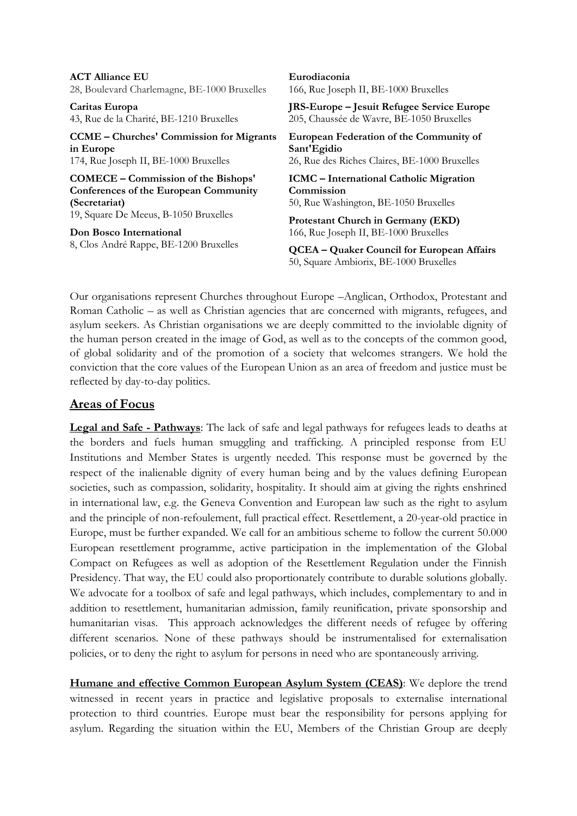**ACT Alliance EU**  28, Boulevard Charlemagne, BE-1000 Bruxelles

**Caritas Europa** 43, Rue de la Charité, BE-1210 Bruxelles

**CCME – Churches' Commission for Migrants in Europe** 174, Rue Joseph II, BE-1000 Bruxelles

**COMECE – Commission of the Bishops' Conferences of the European Community (Secretariat)** 19, Square De Meeus, B-1050 Bruxelles

**Don Bosco International** 8, Clos André Rappe, BE-1200 Bruxelles **Eurodiaconia** 166, Rue Joseph II, BE-1000 Bruxelles

**JRS-Europe – Jesuit Refugee Service Europe** 205, Chaussée de Wavre, BE-1050 Bruxelles

**European Federation of the Community of Sant'Egidio**

26, Rue des Riches Claires, BE-1000 Bruxelles

**ICMC – International Catholic Migration Commission** 50, Rue Washington, BE-1050 Bruxelles

**Protestant Church in Germany (EKD)** 166, Rue Joseph II, BE-1000 Bruxelles

**QCEA – Quaker Council for European Affairs** 50, Square Ambiorix, BE-1000 Bruxelles

Our organisations represent Churches throughout Europe –Anglican, Orthodox, Protestant and Roman Catholic – as well as Christian agencies that are concerned with migrants, refugees, and asylum seekers. As Christian organisations we are deeply committed to the inviolable dignity of the human person created in the image of God, as well as to the concepts of the common good, of global solidarity and of the promotion of a society that welcomes strangers. We hold the conviction that the core values of the European Union as an area of freedom and justice must be reflected by day-to-day politics.

## **Areas of Focus**

**Legal and Safe - Pathways**: The lack of safe and legal pathways for refugees leads to deaths at the borders and fuels human smuggling and trafficking. A principled response from EU Institutions and Member States is urgently needed. This response must be governed by the respect of the inalienable dignity of every human being and by the values defining European societies, such as compassion, solidarity, hospitality. It should aim at giving the rights enshrined in international law, e.g. the Geneva Convention and European law such as the right to asylum and the principle of non-refoulement, full practical effect. Resettlement, a 20-year-old practice in Europe, must be further expanded. We call for an ambitious scheme to follow the current 50.000 European resettlement programme, active participation in the implementation of the Global Compact on Refugees as well as adoption of the Resettlement Regulation under the Finnish Presidency. That way, the EU could also proportionately contribute to durable solutions globally. We advocate for a toolbox of safe and legal pathways, which includes, complementary to and in addition to resettlement, humanitarian admission, family reunification, private sponsorship and humanitarian visas. This approach acknowledges the different needs of refugee by offering different scenarios. None of these pathways should be instrumentalised for externalisation policies, or to deny the right to asylum for persons in need who are spontaneously arriving.

**Humane and effective Common European Asylum System (CEAS)**: We deplore the trend witnessed in recent years in practice and legislative proposals to externalise international protection to third countries. Europe must bear the responsibility for persons applying for asylum. Regarding the situation within the EU, Members of the Christian Group are deeply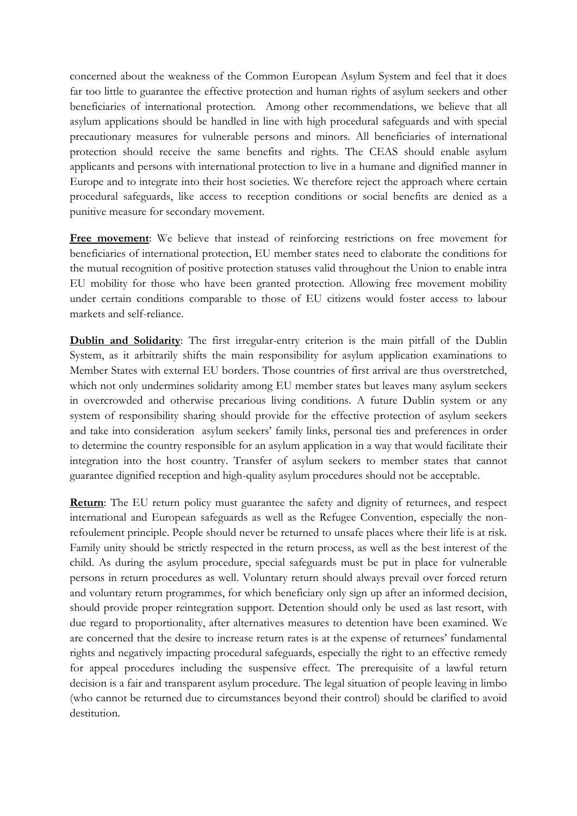concerned about the weakness of the Common European Asylum System and feel that it does far too little to guarantee the effective protection and human rights of asylum seekers and other beneficiaries of international protection. Among other recommendations, we believe that all asylum applications should be handled in line with high procedural safeguards and with special precautionary measures for vulnerable persons and minors. All beneficiaries of international protection should receive the same benefits and rights. The CEAS should enable asylum applicants and persons with international protection to live in a humane and dignified manner in Europe and to integrate into their host societies. We therefore reject the approach where certain procedural safeguards, like access to reception conditions or social benefits are denied as a punitive measure for secondary movement.

**Free movement**: We believe that instead of reinforcing restrictions on free movement for beneficiaries of international protection, EU member states need to elaborate the conditions for the mutual recognition of positive protection statuses valid throughout the Union to enable intra EU mobility for those who have been granted protection. Allowing free movement mobility under certain conditions comparable to those of EU citizens would foster access to labour markets and self-reliance.

**Dublin and Solidarity**: The first irregular-entry criterion is the main pitfall of the Dublin System, as it arbitrarily shifts the main responsibility for asylum application examinations to Member States with external EU borders. Those countries of first arrival are thus overstretched, which not only undermines solidarity among EU member states but leaves many asylum seekers in overcrowded and otherwise precarious living conditions. A future Dublin system or any system of responsibility sharing should provide for the effective protection of asylum seekers and take into consideration asylum seekers' family links, personal ties and preferences in order to determine the country responsible for an asylum application in a way that would facilitate their integration into the host country. Transfer of asylum seekers to member states that cannot guarantee dignified reception and high-quality asylum procedures should not be acceptable.

**Return:** The EU return policy must guarantee the safety and dignity of returnees, and respect international and European safeguards as well as the Refugee Convention, especially the nonrefoulement principle. People should never be returned to unsafe places where their life is at risk. Family unity should be strictly respected in the return process, as well as the best interest of the child. As during the asylum procedure, special safeguards must be put in place for vulnerable persons in return procedures as well. Voluntary return should always prevail over forced return and voluntary return programmes, for which beneficiary only sign up after an informed decision, should provide proper reintegration support. Detention should only be used as last resort, with due regard to proportionality, after alternatives measures to detention have been examined. We are concerned that the desire to increase return rates is at the expense of returnees' fundamental rights and negatively impacting procedural safeguards, especially the right to an effective remedy for appeal procedures including the suspensive effect. The prerequisite of a lawful return decision is a fair and transparent asylum procedure. The legal situation of people leaving in limbo (who cannot be returned due to circumstances beyond their control) should be clarified to avoid destitution.